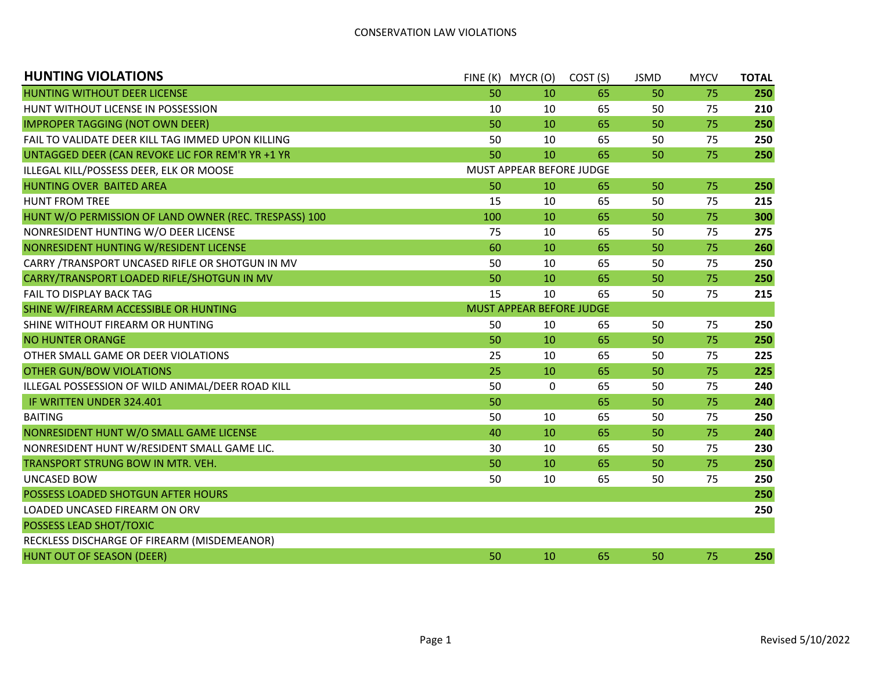| <b>HUNTING VIOLATIONS</b>                             |                          | FINE (K) MYCR (O)        | COST <sub>(S)</sub> | <b>JSMD</b> | <b>MYCV</b> | <b>TOTAL</b> |  |
|-------------------------------------------------------|--------------------------|--------------------------|---------------------|-------------|-------------|--------------|--|
| HUNTING WITHOUT DEER LICENSE                          | 50                       | 10                       | 65                  | 50          | 75          | 250          |  |
| HUNT WITHOUT LICENSE IN POSSESSION                    | 10                       | 10                       | 65                  | 50          | 75          | 210          |  |
| <b>IMPROPER TAGGING (NOT OWN DEER)</b>                | 50                       | 10                       | 65                  | 50          | 75          | 250          |  |
| FAIL TO VALIDATE DEER KILL TAG IMMED UPON KILLING     | 50                       | 10                       | 65                  | 50          | 75          | 250          |  |
| UNTAGGED DEER (CAN REVOKE LIC FOR REM'R YR +1 YR      | 50                       | 10                       | 65                  | 50          | 75          | 250          |  |
| ILLEGAL KILL/POSSESS DEER, ELK OR MOOSE               | MUST APPEAR BEFORE JUDGE |                          |                     |             |             |              |  |
| HUNTING OVER BAITED AREA                              | 50                       | 10                       | 65                  | 50          | 75          | 250          |  |
| <b>HUNT FROM TREE</b>                                 | 15                       | 10                       | 65                  | 50          | 75          | 215          |  |
| HUNT W/O PERMISSION OF LAND OWNER (REC. TRESPASS) 100 | 100                      | 10                       | 65                  | 50          | 75          | 300          |  |
| NONRESIDENT HUNTING W/O DEER LICENSE                  | 75                       | 10                       | 65                  | 50          | 75          | 275          |  |
| NONRESIDENT HUNTING W/RESIDENT LICENSE                | 60                       | 10                       | 65                  | 50          | 75          | 260          |  |
| CARRY /TRANSPORT UNCASED RIFLE OR SHOTGUN IN MV       | 50                       | 10                       | 65                  | 50          | 75          | 250          |  |
| CARRY/TRANSPORT LOADED RIFLE/SHOTGUN IN MV            | 50                       | 10                       | 65                  | 50          | 75          | 250          |  |
| FAIL TO DISPLAY BACK TAG                              | 15                       | 10                       | 65                  | 50          | 75          | 215          |  |
| SHINE W/FIREARM ACCESSIBLE OR HUNTING                 |                          | MUST APPEAR BEFORE JUDGE |                     |             |             |              |  |
| SHINE WITHOUT FIREARM OR HUNTING                      | 50                       | 10                       | 65                  | 50          | 75          | 250          |  |
| <b>NO HUNTER ORANGE</b>                               | 50                       | 10                       | 65                  | 50          | 75          | 250          |  |
| OTHER SMALL GAME OR DEER VIOLATIONS                   | 25                       | 10                       | 65                  | 50          | 75          | 225          |  |
| <b>OTHER GUN/BOW VIOLATIONS</b>                       | 25                       | 10                       | 65                  | 50          | 75          | 225          |  |
| ILLEGAL POSSESSION OF WILD ANIMAL/DEER ROAD KILL      | 50                       | 0                        | 65                  | 50          | 75          | 240          |  |
| IF WRITTEN UNDER 324.401                              | 50                       |                          | 65                  | 50          | 75          | 240          |  |
| <b>BAITING</b>                                        | 50                       | 10                       | 65                  | 50          | 75          | 250          |  |
| NONRESIDENT HUNT W/O SMALL GAME LICENSE               | 40                       | 10                       | 65                  | 50          | 75          | 240          |  |
| NONRESIDENT HUNT W/RESIDENT SMALL GAME LIC.           | 30                       | 10                       | 65                  | 50          | 75          | 230          |  |
| TRANSPORT STRUNG BOW IN MTR. VEH.                     | 50                       | 10                       | 65                  | 50          | 75          | 250          |  |
| <b>UNCASED BOW</b>                                    | 50                       | 10                       | 65                  | 50          | 75          | 250          |  |
| POSSESS LOADED SHOTGUN AFTER HOURS                    |                          |                          |                     |             |             | 250          |  |
| LOADED UNCASED FIREARM ON ORV                         |                          |                          |                     |             |             | 250          |  |
| POSSESS LEAD SHOT/TOXIC                               |                          |                          |                     |             |             |              |  |
| RECKLESS DISCHARGE OF FIREARM (MISDEMEANOR)           |                          |                          |                     |             |             |              |  |
| HUNT OUT OF SEASON (DEER)                             | 50                       | 10                       | 65                  | 50          | 75          | 250          |  |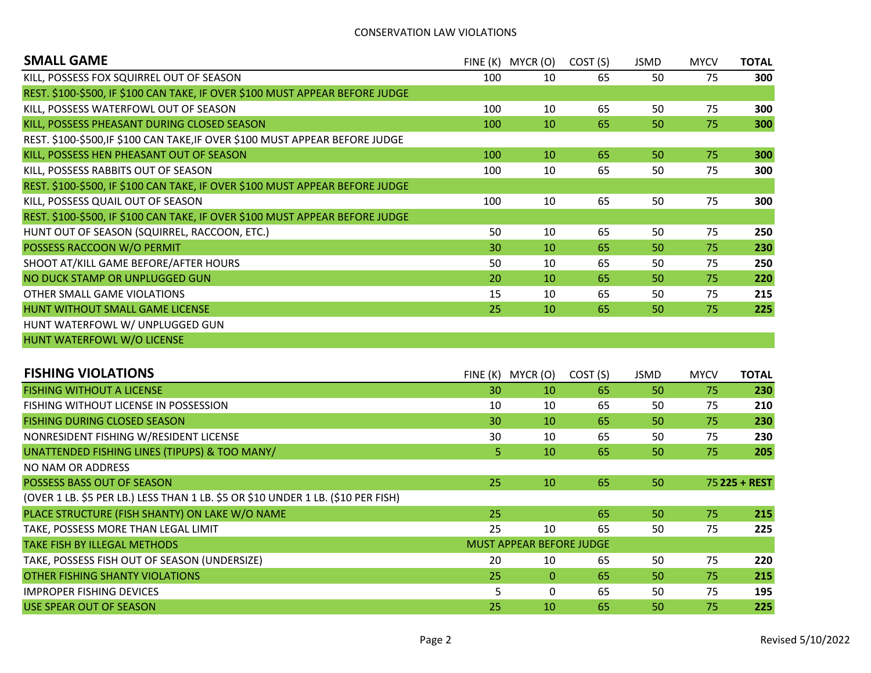## CONSERVATION LAW VIOLATIONS

| <b>SMALL GAME</b>                                                            | FINE (K) | MYCR (O) | COST (S) | <b>JSMD</b> | <b>MYCV</b> | TOTAL |
|------------------------------------------------------------------------------|----------|----------|----------|-------------|-------------|-------|
| KILL, POSSESS FOX SQUIRREL OUT OF SEASON                                     | 100      | 10       | 65       | 50          | 75          | 300   |
| REST. \$100-\$500, IF \$100 CAN TAKE, IF OVER \$100 MUST APPEAR BEFORE JUDGE |          |          |          |             |             |       |
| KILL, POSSESS WATERFOWL OUT OF SEASON                                        | 100      | 10       | 65       | 50          | 75          | 300   |
| KILL, POSSESS PHEASANT DURING CLOSED SEASON                                  | 100      | 10       | 65       | 50          | 75          | 300   |
| REST. \$100-\$500, IF \$100 CAN TAKE, IF OVER \$100 MUST APPEAR BEFORE JUDGE |          |          |          |             |             |       |
| KILL, POSSESS HEN PHEASANT OUT OF SEASON                                     | 100      | 10       | 65       | 50          | 75          | 300   |
| KILL, POSSESS RABBITS OUT OF SEASON                                          | 100      | 10       | 65       | 50          | 75          | 300   |
| REST. \$100-\$500, IF \$100 CAN TAKE, IF OVER \$100 MUST APPEAR BEFORE JUDGE |          |          |          |             |             |       |
| KILL, POSSESS QUAIL OUT OF SEASON                                            | 100      | 10       | 65       | 50          | 75          | 300   |
| REST. \$100-\$500, IF \$100 CAN TAKE, IF OVER \$100 MUST APPEAR BEFORE JUDGE |          |          |          |             |             |       |
| HUNT OUT OF SEASON (SQUIRREL, RACCOON, ETC.)                                 | 50       | 10       | 65       | 50          | 75          | 250   |
| POSSESS RACCOON W/O PERMIT                                                   | 30       | 10       | 65       | 50          | 75          | 230   |
| SHOOT AT/KILL GAME BEFORE/AFTER HOURS                                        | 50       | 10       | 65       | 50          | 75          | 250   |
| NO DUCK STAMP OR UNPLUGGED GUN                                               | 20       | 10       | 65       | 50          | 75          | 220   |
| OTHER SMALL GAME VIOLATIONS                                                  | 15       | 10       | 65       | 50          | 75          | 215   |
| HUNT WITHOUT SMALL GAME LICENSE                                              | 25       | 10       | 65       | 50          | 75          | 225   |
| HUNT WATERFOWL W/ UNPLUGGED GUN                                              |          |          |          |             |             |       |
| HUNT WATERFOWL W/O LICENSE                                                   |          |          |          |             |             |       |

| <b>FISHING VIOLATIONS</b>                                                        | FINE(K)                         | MYCR (O)     | COST (S) | JSMD | <b>MYCV</b> | <b>TOTAL</b>  |  |  |
|----------------------------------------------------------------------------------|---------------------------------|--------------|----------|------|-------------|---------------|--|--|
| <b>FISHING WITHOUT A LICENSE</b>                                                 | 30                              | 10           | 65       | 50   | 75          | 230           |  |  |
| <b>FISHING WITHOUT LICENSE IN POSSESSION</b>                                     | 10                              | 10           | 65       | 50   | 75          | 210           |  |  |
| <b>FISHING DURING CLOSED SEASON</b>                                              | 30                              | 10           | 65       | 50   | 75          | 230           |  |  |
| NONRESIDENT FISHING W/RESIDENT LICENSE                                           | 30                              | 10           | 65       | 50   | 75          | 230           |  |  |
| UNATTENDED FISHING LINES (TIPUPS) & TOO MANY/                                    | 5.                              | 10           | 65       | 50   | 75          | 205           |  |  |
| NO NAM OR ADDRESS                                                                |                                 |              |          |      |             |               |  |  |
| POSSESS BASS OUT OF SEASON                                                       | 25                              | 10           | 65       | 50   |             | 75 225 + REST |  |  |
| (OVER 1 LB. \$5 PER LB.) LESS THAN 1 LB. \$5 OR \$10 UNDER 1 LB. (\$10 PER FISH) |                                 |              |          |      |             |               |  |  |
| PLACE STRUCTURE (FISH SHANTY) ON LAKE W/O NAME                                   | 25                              |              | 65       | 50   | 75          | 215           |  |  |
| TAKE, POSSESS MORE THAN LEGAL LIMIT                                              | 25                              | 10           | 65       | 50   | 75          | 225           |  |  |
| <b>TAKE FISH BY ILLEGAL METHODS</b>                                              | <b>MUST APPEAR BEFORE JUDGE</b> |              |          |      |             |               |  |  |
| TAKE, POSSESS FISH OUT OF SEASON (UNDERSIZE)                                     | 20                              | 10           | 65       | 50   | 75          | 220           |  |  |
| <b>OTHER FISHING SHANTY VIOLATIONS</b>                                           | 25                              | $\mathbf{0}$ | 65       | 50   | 75          | 215           |  |  |
| <b>IMPROPER FISHING DEVICES</b>                                                  | 5                               | $\mathbf{0}$ | 65       | 50   | 75          | 195           |  |  |
| USE SPEAR OUT OF SEASON                                                          | 25                              | 10           | 65       | 50   | 75          | 225           |  |  |